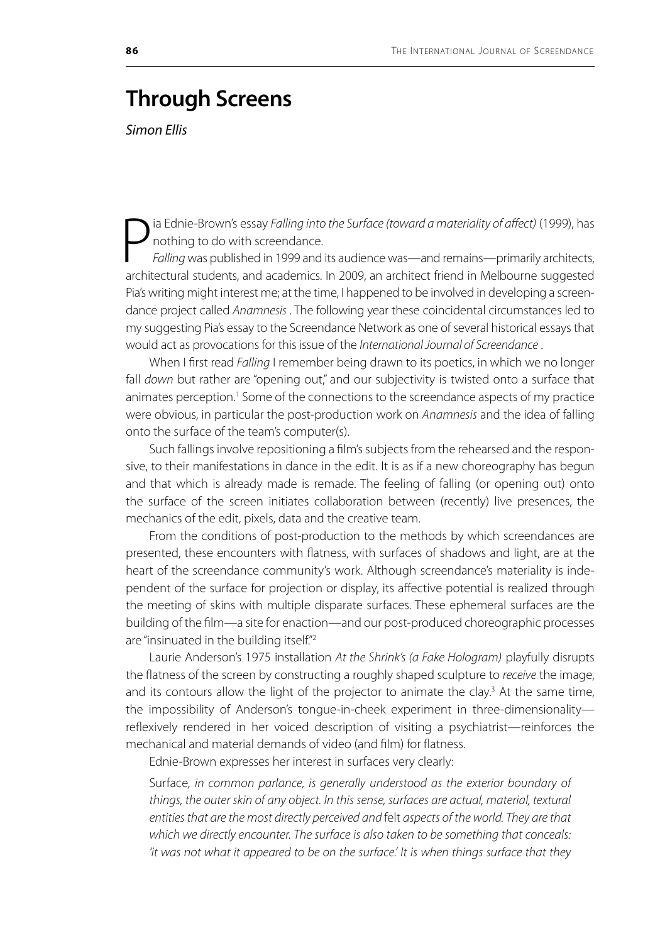## **Through Screens**

*Simon Ellis*

P<br><sub>archit</sub> ia Ednie-Brown's essay *Falling into the Surface (toward a materiality of affect)* (1999), has nothing to do with screendance. *Falling* was published in 1999 and its audience was—and remains—primarily architects,

architectural students, and academics. In 2009, an architect friend in Melbourne suggested Pia's writing might interest me; at the time, I happened to be involved in developing a screendance project called *Anamnesis* . The following year these coincidental circumstances led to my suggesting Pia's essay to the Screendance Network as one of several historical essays that would act as provocations for this issue of the *International Journal of Screendance* .

When I first read *Falling* I remember being drawn to its poetics, in which we no longer fall *down* but rather are "opening out," and our subjectivity is twisted onto a surface that animates perception.<sup>1</sup> Some of the connections to the screendance aspects of my practice were obvious, in particular the post-production work on *Anamnesis* and the idea of falling onto the surface of the team's computer(s).

Such fallings involve repositioning a film's subjects from the rehearsed and the responsive, to their manifestations in dance in the edit. It is as if a new choreography has begun and that which is already made is remade. The feeling of falling (or opening out) onto the surface of the screen initiates collaboration between (recently) live presences, the mechanics of the edit, pixels, data and the creative team.

From the conditions of post-production to the methods by which screendances are presented, these encounters with flatness, with surfaces of shadows and light, are at the heart of the screendance community's work. Although screendance's materiality is independent of the surface for projection or display, its affective potential is realized through the meeting of skins with multiple disparate surfaces. These ephemeral surfaces are the building of the film—a site for enaction—and our post-produced choreographic processes are "insinuated in the building itself."<sup>2</sup>

Laurie Anderson's 1975 installation *At the Shrink's (a Fake Hologram)* playfully disrupts the flatness of the screen by constructing a roughly shaped sculpture to *receive* the image, and its contours allow the light of the projector to animate the clay.<sup>3</sup> At the same time, the impossibility of Anderson's tongue-in-cheek experiment in three-dimensionality reflexively rendered in her voiced description of visiting a psychiatrist—reinforces the mechanical and material demands of video (and film) for flatness.

Ednie-Brown expresses her interest in surfaces very clearly:

Surface*, in common parlance, is generally understood as the exterior boundary of things, the outer skin of any object. In this sense, surfaces are actual, material, textural entities that are the most directly perceived and* felt *aspects of the world. They are that which we directly encounter. The surface is also taken to be something that conceals: 'it was not what it appeared to be on the surface.' It is when things surface that they*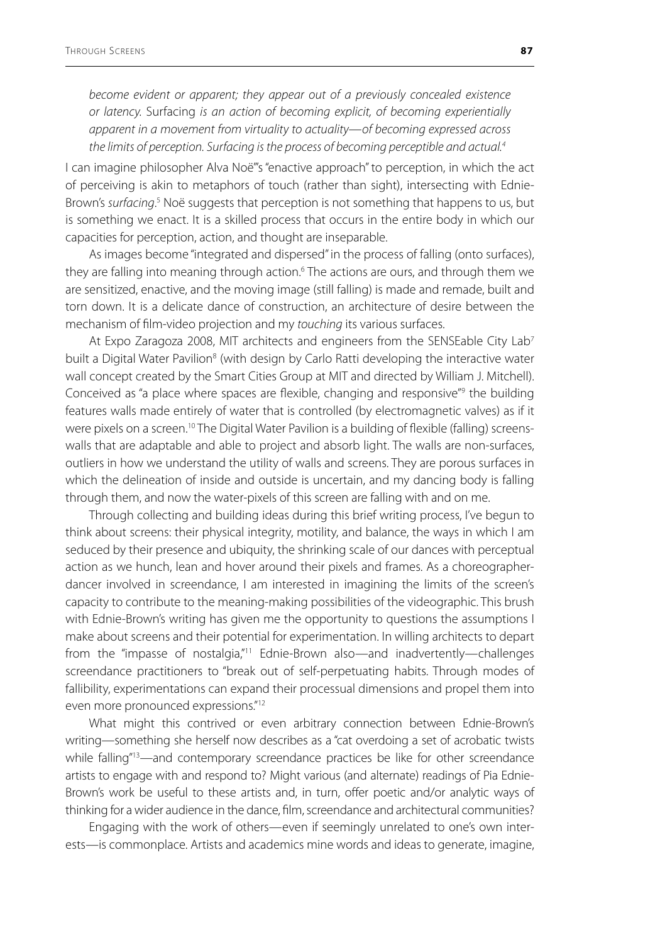*become evident or apparent; they appear out of a previously concealed existence or latency.* Surfacing *is an action of becoming explicit, of becoming experientially apparent in a movement from virtuality to actuality—of becoming expressed across the limits of perception. Surfacing is the process of becoming perceptible and actual.4*

I can imagine philosopher Alva Noë"'s "enactive approach" to perception, in which the act of perceiving is akin to metaphors of touch (rather than sight), intersecting with Ednie-Brown's surfacing.<sup>5</sup> Noë suggests that perception is not something that happens to us, but is something we enact. It is a skilled process that occurs in the entire body in which our capacities for perception, action, and thought are inseparable.

As images become "integrated and dispersed" in the process of falling (onto surfaces), they are falling into meaning through action.<sup>6</sup> The actions are ours, and through them we are sensitized, enactive, and the moving image (still falling) is made and remade, built and torn down. It is a delicate dance of construction, an architecture of desire between the mechanism of film-video projection and my *touching* its various surfaces.

At Expo Zaragoza 2008, MIT architects and engineers from the SENSEable City Lab<sup>7</sup> built a Digital Water Pavilion<sup>8</sup> (with design by Carlo Ratti developing the interactive water wall concept created by the Smart Cities Group at MIT and directed by William J. Mitchell). Conceived as "a place where spaces are flexible, changing and responsive"<sup>9</sup> the building features walls made entirely of water that is controlled (by electromagnetic valves) as if it were pixels on a screen.<sup>10</sup> The Digital Water Pavilion is a building of flexible (falling) screenswalls that are adaptable and able to project and absorb light. The walls are non-surfaces, outliers in how we understand the utility of walls and screens. They are porous surfaces in which the delineation of inside and outside is uncertain, and my dancing body is falling through them, and now the water-pixels of this screen are falling with and on me.

Through collecting and building ideas during this brief writing process, I've begun to think about screens: their physical integrity, motility, and balance, the ways in which I am seduced by their presence and ubiquity, the shrinking scale of our dances with perceptual action as we hunch, lean and hover around their pixels and frames. As a choreographerdancer involved in screendance, I am interested in imagining the limits of the screen's capacity to contribute to the meaning-making possibilities of the videographic. This brush with Ednie-Brown's writing has given me the opportunity to questions the assumptions I make about screens and their potential for experimentation. In willing architects to depart from the "impasse of nostalgia,"11 Ednie-Brown also—and inadvertently—challenges screendance practitioners to "break out of self-perpetuating habits. Through modes of fallibility, experimentations can expand their processual dimensions and propel them into even more pronounced expressions."12

What might this contrived or even arbitrary connection between Ednie-Brown's writing—something she herself now describes as a "cat overdoing a set of acrobatic twists while falling"<sup>13</sup>—and contemporary screendance practices be like for other screendance artists to engage with and respond to? Might various (and alternate) readings of Pia Ednie-Brown's work be useful to these artists and, in turn, offer poetic and/or analytic ways of thinking for a wider audience in the dance, film, screendance and architectural communities?

Engaging with the work of others—even if seemingly unrelated to one's own interests—is commonplace. Artists and academics mine words and ideas to generate, imagine,